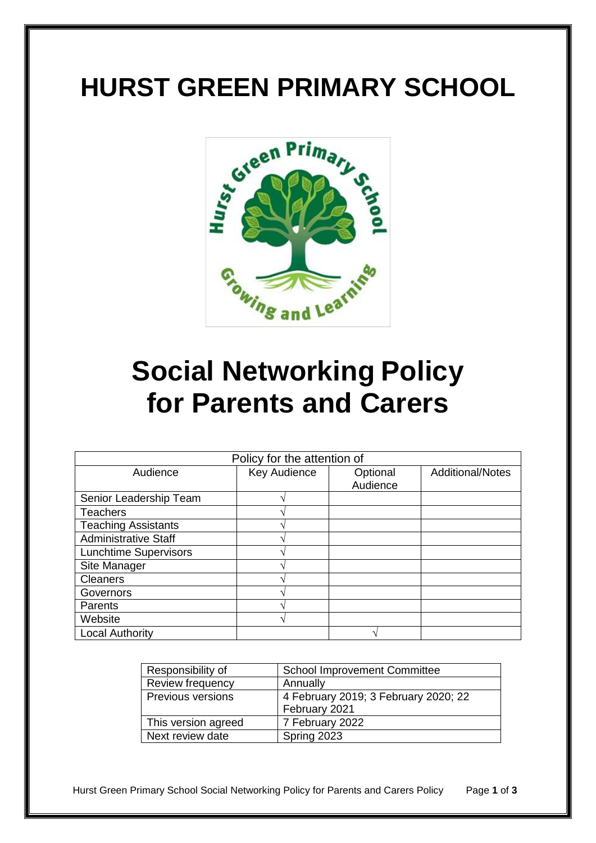# **HURST GREEN PRIMARY SCHOOL**



# **Social Networking Policy for Parents and Carers**

| Policy for the attention of  |              |          |                         |
|------------------------------|--------------|----------|-------------------------|
| Audience                     | Key Audience | Optional | <b>Additional/Notes</b> |
|                              |              | Audience |                         |
| Senior Leadership Team       |              |          |                         |
| <b>Teachers</b>              |              |          |                         |
| <b>Teaching Assistants</b>   |              |          |                         |
| <b>Administrative Staff</b>  |              |          |                         |
| <b>Lunchtime Supervisors</b> |              |          |                         |
| Site Manager                 |              |          |                         |
| <b>Cleaners</b>              |              |          |                         |
| Governors                    |              |          |                         |
| Parents                      |              |          |                         |
| Website                      |              |          |                         |
| <b>Local Authority</b>       |              |          |                         |

| Responsibility of        | <b>School Improvement Committee</b>  |  |
|--------------------------|--------------------------------------|--|
| Review frequency         | Annually                             |  |
| <b>Previous versions</b> | 4 February 2019; 3 February 2020; 22 |  |
|                          | February 2021                        |  |
| This version agreed      | 7 February 2022                      |  |
| Next review date         | Spring 2023                          |  |

Hurst Green Primary School Social Networking Policy for Parents and Carers Policy Page **1** of **3**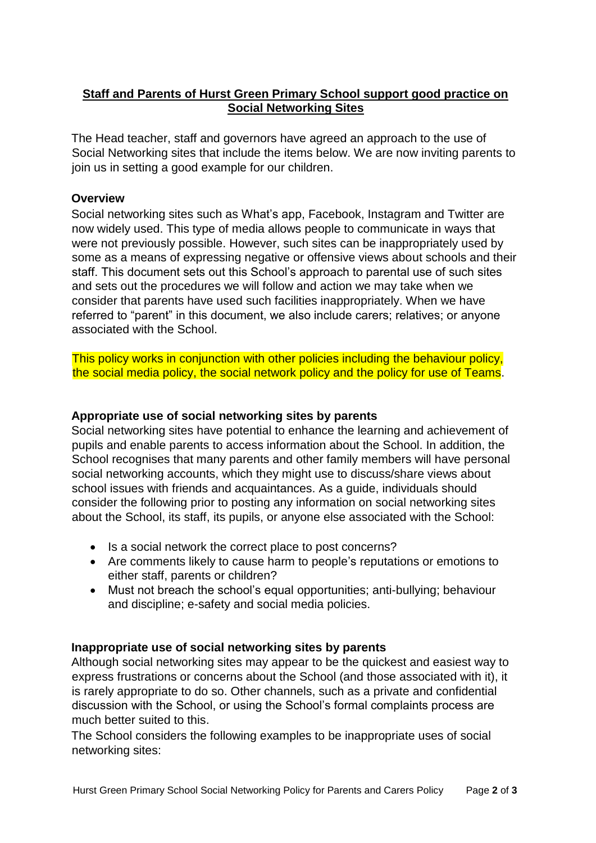# **Staff and Parents of Hurst Green Primary School support good practice on Social Networking Sites**

The Head teacher, staff and governors have agreed an approach to the use of Social Networking sites that include the items below. We are now inviting parents to join us in setting a good example for our children.

#### **Overview**

Social networking sites such as What's app, Facebook, Instagram and Twitter are now widely used. This type of media allows people to communicate in ways that were not previously possible. However, such sites can be inappropriately used by some as a means of expressing negative or offensive views about schools and their staff. This document sets out this School's approach to parental use of such sites and sets out the procedures we will follow and action we may take when we consider that parents have used such facilities inappropriately. When we have referred to "parent" in this document, we also include carers; relatives; or anyone associated with the School.

This policy works in conjunction with other policies including the behaviour policy, the social media policy, the social network policy and the policy for use of Teams.

### **Appropriate use of social networking sites by parents**

Social networking sites have potential to enhance the learning and achievement of pupils and enable parents to access information about the School. In addition, the School recognises that many parents and other family members will have personal social networking accounts, which they might use to discuss/share views about school issues with friends and acquaintances. As a guide, individuals should consider the following prior to posting any information on social networking sites about the School, its staff, its pupils, or anyone else associated with the School:

- Is a social network the correct place to post concerns?
- Are comments likely to cause harm to people's reputations or emotions to either staff, parents or children?
- Must not breach the school's equal opportunities; anti-bullying; behaviour and discipline; e-safety and social media policies.

## **Inappropriate use of social networking sites by parents**

Although social networking sites may appear to be the quickest and easiest way to express frustrations or concerns about the School (and those associated with it), it is rarely appropriate to do so. Other channels, such as a private and confidential discussion with the School, or using the School's formal complaints process are much better suited to this.

The School considers the following examples to be inappropriate uses of social networking sites: